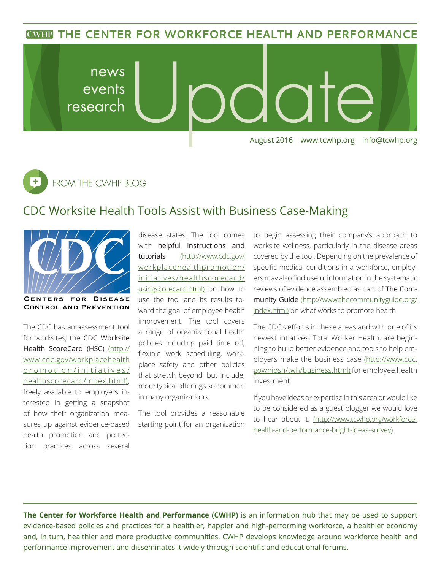#### **CWHP THE CENTER FOR WORKFORCE HEALTH AND PERFORMANCE**



 $\overline{\texttt{+}}$ FROM THE CWHP BLOG

### CDC Worksite Health Tools Assist with Business Case-Making



CENTERS FOR DISEASE **CONTROL AND PREVENTION** 

The CDC has an assessment tool for worksites, the CDC Worksite Health ScoreCard (HSC) (http:// www.cdc.gov/workplacehealth promotion/initiatives/ healthscorecard/index.html), freely available to employers interested in getting a snapshot of how their organization measures up against evidence-based health promotion and protection practices across several

disease states. The tool comes with helpful instructions and tutorials (http://www.cdc.gov/ workplacehealthpromotion/ initiatives/healthscorecard/ usingscorecard.html) on how to use the tool and its results toward the goal of employee health improvement. The tool covers a range of organizational health policies including paid time off, flexible work scheduling, workplace safety and other policies that stretch beyond, but include, more typical offerings so common in many organizations.

The tool provides a reasonable starting point for an organization to begin assessing their company's approach to worksite wellness, particularly in the disease areas covered by the tool. Depending on the prevalence of specific medical conditions in a workforce, employers may also find useful information in the systematic reviews of evidence assembled as part of The Community Guide (http://www.thecommunityguide.org/ index.html) on what works to promote health.

The CDC's efforts in these areas and with one of its newest intiatives, Total Worker Health, are beginning to build better evidence and tools to help employers make the business case (http://www.cdc. gov/niosh/twh/business.html) for employee health investment.

If you have ideas or expertise in this area or would like to be considered as a guest blogger we would love to hear about it. (http://www.tcwhp.org/workforcehealth-and-performance-bright-ideas-survey)

**The Center for Workforce Health and Performance (CWHP)** is an information hub that may be used to support evidence-based policies and practices for a healthier, happier and high-performing workforce, a healthier economy and, in turn, healthier and more productive communities. CWHP develops knowledge around workforce health and performance improvement and disseminates it widely through scientific and educational forums.